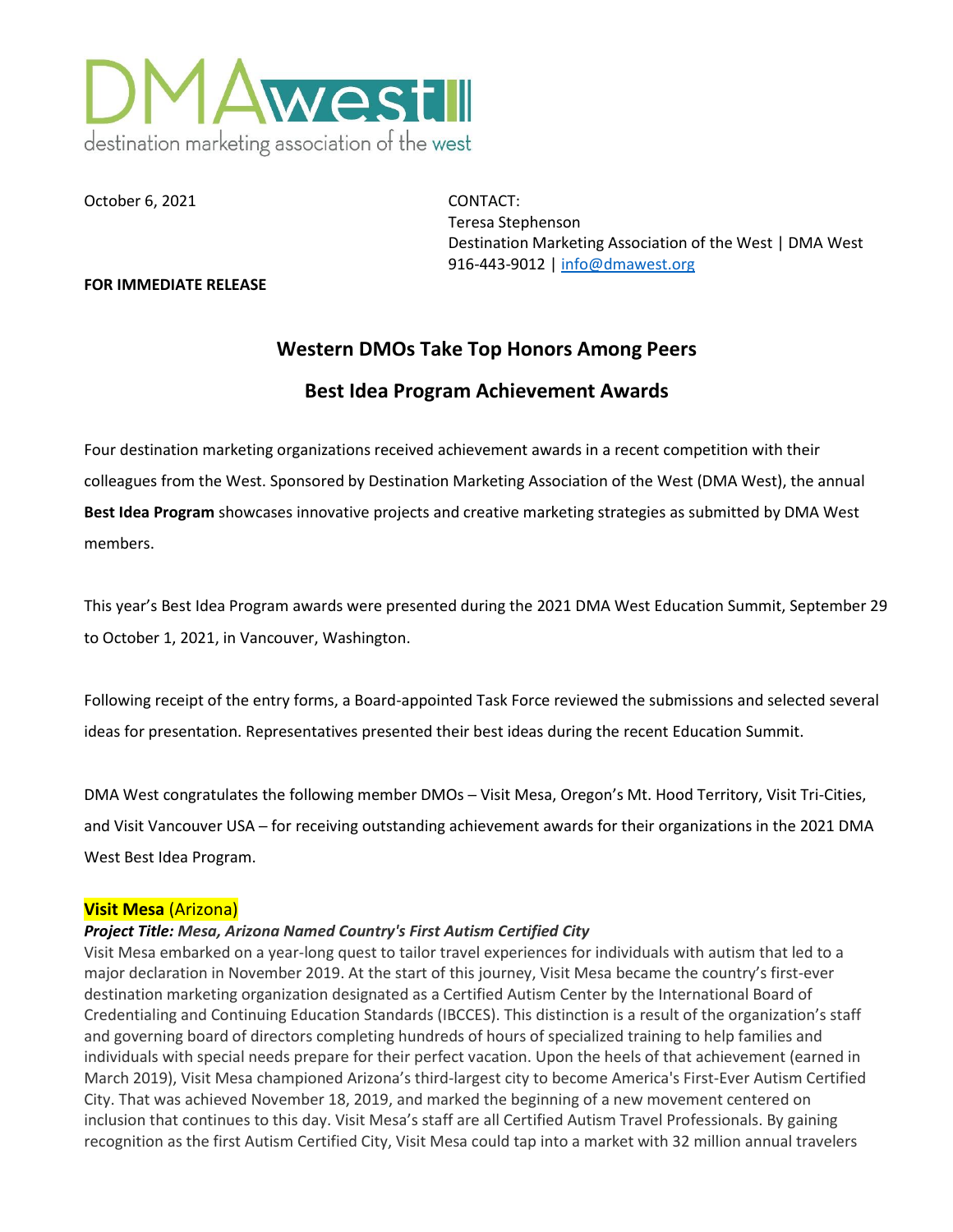

October 6, 2021 CONTACT:

Teresa Stephenson Destination Marketing Association of the West | DMA West 916-443-9012 [| info@dmawest.org](mailto:info@dmawest.org)

#### **FOR IMMEDIATE RELEASE**

# **Western DMOs Take Top Honors Among Peers**

## **Best Idea Program Achievement Awards**

Four destination marketing organizations received achievement awards in a recent competition with their colleagues from the West. Sponsored by Destination Marketing Association of the West (DMA West), the annual **Best Idea Program** showcases innovative projects and creative marketing strategies as submitted by DMA West members.

This year's Best Idea Program awards were presented during the 2021 DMA West Education Summit, September 29 to October 1, 2021, in Vancouver, Washington.

Following receipt of the entry forms, a Board-appointed Task Force reviewed the submissions and selected several ideas for presentation. Representatives presented their best ideas during the recent Education Summit.

DMA West congratulates the following member DMOs - Visit Mesa, Oregon's Mt. Hood Territory, Visit Tri-Cities, and Visit Vancouver USA – for receiving outstanding achievement awards for their organizations in the 2021 DMA West Best Idea Program.

#### **Visit Mesa** (Arizona)

#### *Project Title: Mesa, Arizona Named Country's First Autism Certified City*

Visit Mesa embarked on a year-long quest to tailor travel experiences for individuals with autism that led to a major declaration in November 2019. At the start of this journey, Visit Mesa became the country's first-ever destination marketing organization designated as a Certified Autism Center by the International Board of Credentialing and Continuing Education Standards (IBCCES). This distinction is a result of the organization's staff and governing board of directors completing hundreds of hours of specialized training to help families and individuals with special needs prepare for their perfect vacation. Upon the heels of that achievement (earned in March 2019), Visit Mesa championed Arizona's third-largest city to become America's First-Ever Autism Certified City. That was achieved November 18, 2019, and marked the beginning of a new movement centered on inclusion that continues to this day. Visit Mesa's staff are all Certified Autism Travel Professionals. By gaining recognition as the first Autism Certified City, Visit Mesa could tap into a market with 32 million annual travelers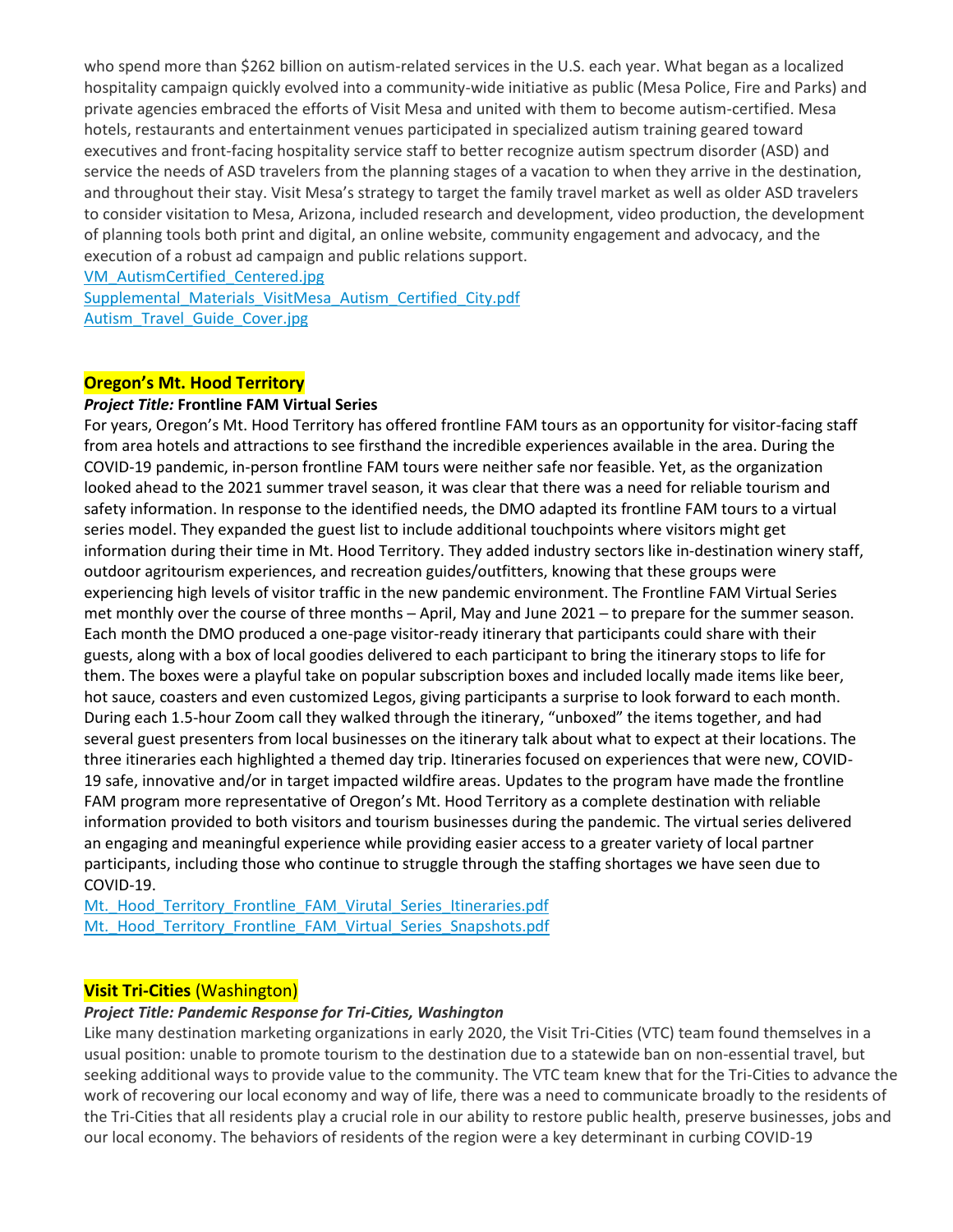who spend more than \$262 billion on autism-related services in the U.S. each year. What began as a localized hospitality campaign quickly evolved into a community-wide initiative as public (Mesa Police, Fire and Parks) and private agencies embraced the efforts of Visit Mesa and united with them to become autism-certified. Mesa hotels, restaurants and entertainment venues participated in specialized autism training geared toward executives and front-facing hospitality service staff to better recognize autism spectrum disorder (ASD) and service the needs of ASD travelers from the planning stages of a vacation to when they arrive in the destination, and throughout their stay. Visit Mesa's strategy to target the family travel market as well as older ASD travelers to consider visitation to Mesa, Arizona, included research and development, video production, the development of planning tools both print and digital, an online website, community engagement and advocacy, and the execution of a robust ad campaign and public relations support.

[VM\\_AutismCertified\\_Centered.jpg](https://www.dmawest.org/files/2316/2939/9830/VM_AutismCertified_Centered.jpg)

Supplemental Materials VisitMesa Autism Certified City.pdf [Autism\\_Travel\\_Guide\\_Cover.jpg](https://www.dmawest.org/files/4416/2939/9831/Autism_Travel_Guide_Cover.jpg)

### **Oregon's Mt. Hood Territory**

#### *Project Title:* **Frontline FAM Virtual Series**

For years, Oregon's Mt. Hood Territory has offered frontline FAM tours as an opportunity for visitor-facing staff from area hotels and attractions to see firsthand the incredible experiences available in the area. During the COVID-19 pandemic, in-person frontline FAM tours were neither safe nor feasible. Yet, as the organization looked ahead to the 2021 summer travel season, it was clear that there was a need for reliable tourism and safety information. In response to the identified needs, the DMO adapted its frontline FAM tours to a virtual series model. They expanded the guest list to include additional touchpoints where visitors might get information during their time in Mt. Hood Territory. They added industry sectors like in-destination winery staff, outdoor agritourism experiences, and recreation guides/outfitters, knowing that these groups were experiencing high levels of visitor traffic in the new pandemic environment. The Frontline FAM Virtual Series met monthly over the course of three months – April, May and June 2021 – to prepare for the summer season. Each month the DMO produced a one-page visitor-ready itinerary that participants could share with their guests, along with a box of local goodies delivered to each participant to bring the itinerary stops to life for them. The boxes were a playful take on popular subscription boxes and included locally made items like beer, hot sauce, coasters and even customized Legos, giving participants a surprise to look forward to each month. During each 1.5-hour Zoom call they walked through the itinerary, "unboxed" the items together, and had several guest presenters from local businesses on the itinerary talk about what to expect at their locations. The three itineraries each highlighted a themed day trip. Itineraries focused on experiences that were new, COVID-19 safe, innovative and/or in target impacted wildfire areas. Updates to the program have made the frontline FAM program more representative of Oregon's Mt. Hood Territory as a complete destination with reliable information provided to both visitors and tourism businesses during the pandemic. The virtual series delivered an engaging and meaningful experience while providing easier access to a greater variety of local partner participants, including those who continue to struggle through the staffing shortages we have seen due to COVID-19.

Mt. Hood Territory Frontline FAM Virutal Series Itineraries.pdf Mt. Hood Territory Frontline FAM Virtual Series Snapshots.pdf

#### **Visit Tri-Cities** (Washington)

#### *Project Title: Pandemic Response for Tri-Cities, Washington*

Like many destination marketing organizations in early 2020, the Visit Tri-Cities (VTC) team found themselves in a usual position: unable to promote tourism to the destination due to a statewide ban on non-essential travel, but seeking additional ways to provide value to the community. The VTC team knew that for the Tri-Cities to advance the work of recovering our local economy and way of life, there was a need to communicate broadly to the residents of the Tri-Cities that all residents play a crucial role in our ability to restore public health, preserve businesses, jobs and our local economy. The behaviors of residents of the region were a key determinant in curbing COVID-19